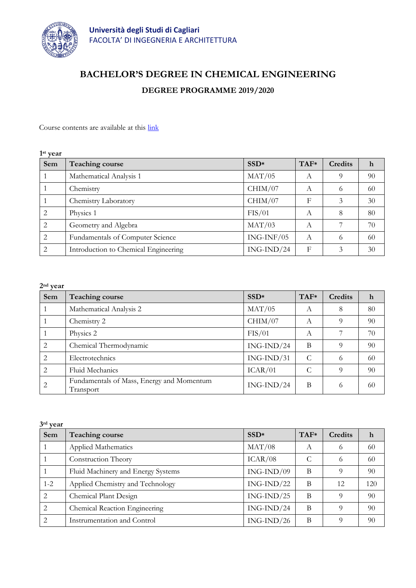

# **BACHELOR'S DEGREE IN CHEMICAL ENGINEERING**

## **DEGREE PROGRAMME 2019/2020**

Course contents are available at this [link](http://facolta.unica.it/ingegneriarchitettura/education/lecture-schedule/?lang=en)

| 1 <sup>st</sup> year |                                      |              |        |                |    |
|----------------------|--------------------------------------|--------------|--------|----------------|----|
| Sem                  | <b>Teaching course</b>               | $SSD*$       | $TAF*$ | <b>Credits</b> | h  |
|                      | Mathematical Analysis 1              | MAT/05       | А      | 9              | 90 |
|                      | Chemistry                            | CHIM/07      | A      | 6              | 60 |
|                      | Chemistry Laboratory                 | CHIM/07      | F      | 3              | 30 |
| $\overline{2}$       | Physics 1                            | FIS/01       | A      | 8              | 80 |
| 2                    | Geometry and Algebra                 | MAT/03       | А      |                | 70 |
| 2                    | Fundamentals of Computer Science     | $ING-INF/05$ | А      | 6              | 60 |
| 2                    | Introduction to Chemical Engineering | $ING-IND/24$ | F      | 3              | 30 |

| $2nd$ year     |                                                        |                  |        |         |             |
|----------------|--------------------------------------------------------|------------------|--------|---------|-------------|
| Sem            | <b>Teaching course</b>                                 | SSD <sup>*</sup> | $TAF*$ | Credits | $\mathbf h$ |
|                | Mathematical Analysis 2                                | MAT/05           | A      | 8       | 80          |
|                | Chemistry 2                                            | CHIM/07          | А      |         | 90          |
|                | Physics 2                                              | FIS/01           | А      |         | 70          |
| 2              | Chemical Thermodynamic                                 | $ING-IND/24$     | B      | 9       | 90          |
| 2              | Electrotechnics                                        | $ING-IND/31$     | C      | 6       | 60          |
| $\overline{2}$ | Fluid Mechanics                                        | ICAR/01          | C      | 9       | 90          |
|                | Fundamentals of Mass, Energy and Momentum<br>Transport | $ING-IND/24$     | B      | 6       | 60          |

| 3rd year                    |                                    |              |        |                |     |
|-----------------------------|------------------------------------|--------------|--------|----------------|-----|
| Sem                         | <b>Teaching course</b>             | $SSD*$       | $TAF*$ | <b>Credits</b> | h   |
|                             | Applied Mathematics                | MAT/08       | А      | 6              | 60  |
|                             | Construction Theory                | ICAR/08      | C      | 6              | 60  |
|                             | Fluid Machinery and Energy Systems | $ING-IND/09$ | B      | $\Omega$       | 90  |
| $1 - 2$                     | Applied Chemistry and Technology   | $ING-IND/22$ | B      | 12.            | 120 |
| 2                           | Chemical Plant Design              | $ING-IND/25$ | B      | 9              | 90  |
| 2                           | Chemical Reaction Engineering      | $ING-IND/24$ | B      | $\Omega$       | 90  |
| $\mathcal{D}_{\mathcal{L}}$ | Instrumentation and Control        | $ING-IND/26$ | B      | O              | 90  |